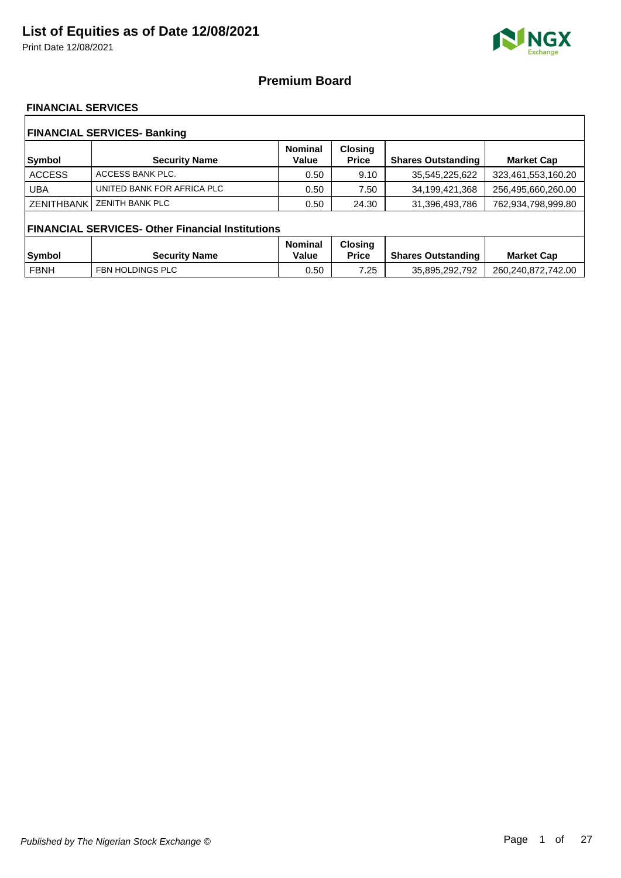Print Date 12/08/2021



### **Premium Board**

### **FINANCIAL SERVICES**

| <b>FINANCIAL SERVICES- Banking</b> |                                                         |                         |                                |                           |                    |  |  |
|------------------------------------|---------------------------------------------------------|-------------------------|--------------------------------|---------------------------|--------------------|--|--|
| <b>Symbol</b>                      | <b>Security Name</b>                                    | <b>Nominal</b><br>Value | <b>Closing</b><br><b>Price</b> | <b>Shares Outstanding</b> | <b>Market Cap</b>  |  |  |
| <b>ACCESS</b>                      | ACCESS BANK PLC.                                        | 0.50                    | 9.10                           | 35,545,225,622            | 323,461,553,160.20 |  |  |
| <b>UBA</b>                         | UNITED BANK FOR AFRICA PLC                              | 0.50                    | 7.50                           | 34,199,421,368            | 256,495,660,260.00 |  |  |
| <b>ZENITHBANK</b>                  | <b>ZENITH BANK PLC</b>                                  | 0.50                    | 24.30                          | 31,396,493,786            | 762,934,798,999.80 |  |  |
|                                    | <b>FINANCIAL SERVICES- Other Financial Institutions</b> |                         |                                |                           |                    |  |  |
|                                    |                                                         | <b>Nominal</b>          | <b>Closing</b>                 |                           |                    |  |  |
| <b>Symbol</b>                      | <b>Security Name</b>                                    | Value                   | <b>Price</b>                   | <b>Shares Outstanding</b> | <b>Market Cap</b>  |  |  |
| <b>FBNH</b>                        | FBN HOLDINGS PLC                                        | 0.50                    | 7.25                           | 35,895,292,792            | 260,240,872,742.00 |  |  |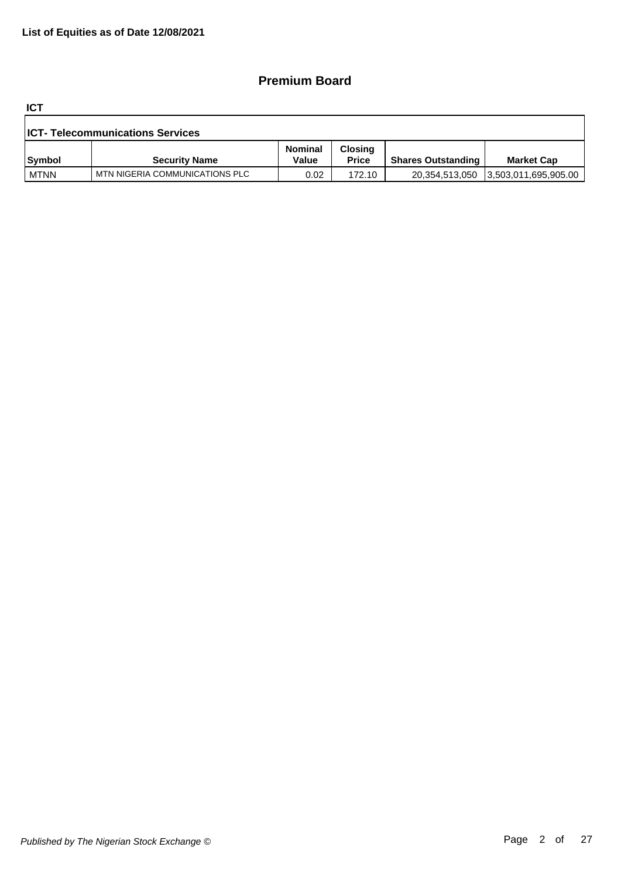## **Premium Board**

**ICT**

| <b>ICT- Telecommunications Services</b> |                                |                  |                                |                           |                      |  |  |
|-----------------------------------------|--------------------------------|------------------|--------------------------------|---------------------------|----------------------|--|--|
| Symbol                                  | <b>Security Name</b>           | Nominal<br>Value | <b>Closing</b><br><b>Price</b> | <b>Shares Outstanding</b> | <b>Market Cap</b>    |  |  |
| <b>MTNN</b>                             | MTN NIGERIA COMMUNICATIONS PLC | 0.02             | 172.10                         | 20,354,513,050            | 3,503,011,695,905.00 |  |  |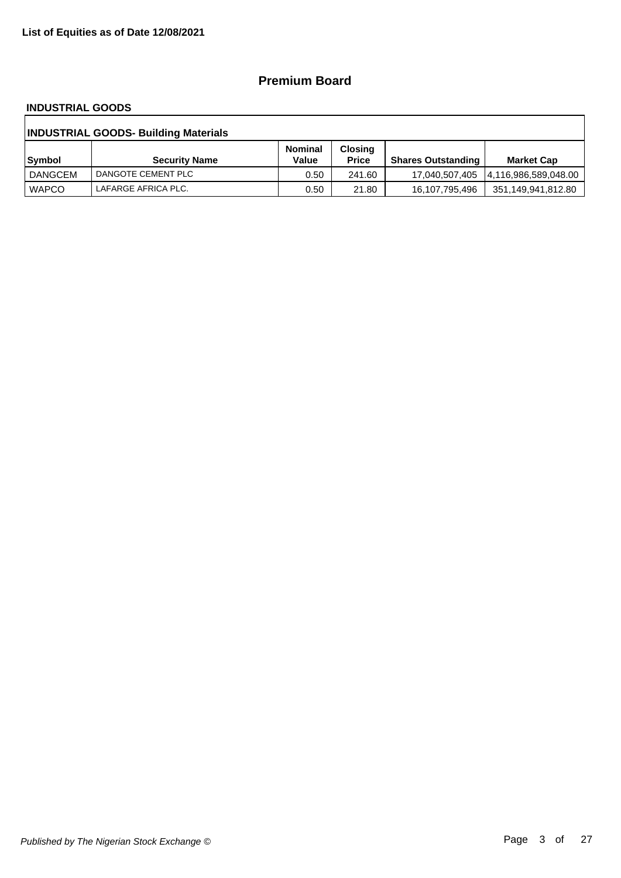## **Premium Board**

#### **INDUSTRIAL GOODS**

| <b>INDUSTRIAL GOODS- Building Materials</b> |                      |                         |                                |                           |                    |  |  |
|---------------------------------------------|----------------------|-------------------------|--------------------------------|---------------------------|--------------------|--|--|
| Symbol                                      | <b>Security Name</b> | <b>Nominal</b><br>Value | <b>Closing</b><br><b>Price</b> | <b>Shares Outstanding</b> | <b>Market Cap</b>  |  |  |
| DANGCEM                                     | DANGOTE CEMENT PLC   | 0.50                    | 241.60                         |                           |                    |  |  |
| <b>WAPCO</b>                                | LAFARGE AFRICA PLC.  | 0.50                    | 21.80                          | 16,107,795,496            | 351,149,941,812.80 |  |  |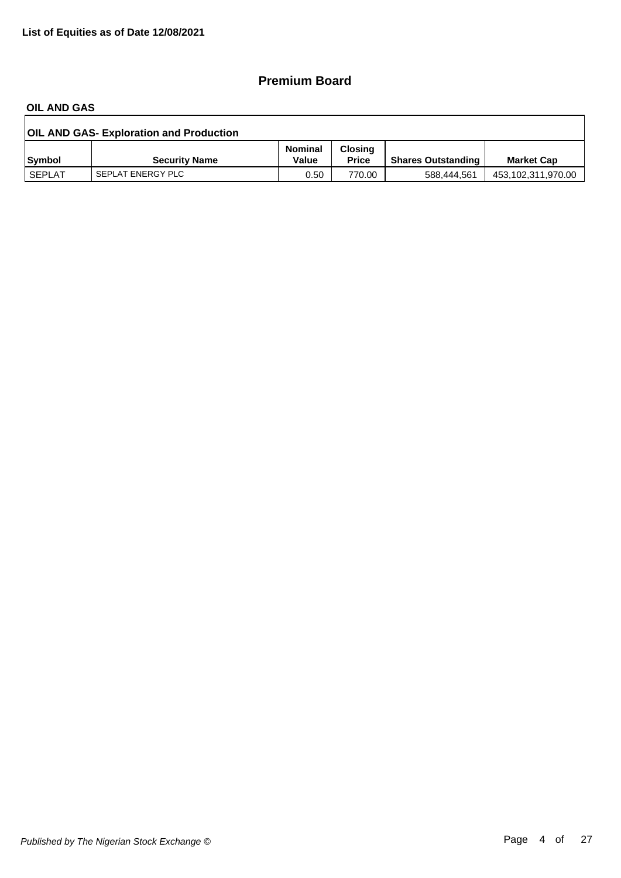## **Premium Board**

#### **OIL AND GAS**

| <b>OIL AND GAS- Exploration and Production</b> |                      |                         |                                |                           |                    |  |  |
|------------------------------------------------|----------------------|-------------------------|--------------------------------|---------------------------|--------------------|--|--|
| <b>Symbol</b>                                  | <b>Security Name</b> | <b>Nominal</b><br>Value | <b>Closing</b><br><b>Price</b> | <b>Shares Outstanding</b> | <b>Market Cap</b>  |  |  |
| <b>SEPLAT</b>                                  | SEPLAT ENERGY PLC    | 0.50                    | 770.00                         | 588.444.561               | 453,102,311,970.00 |  |  |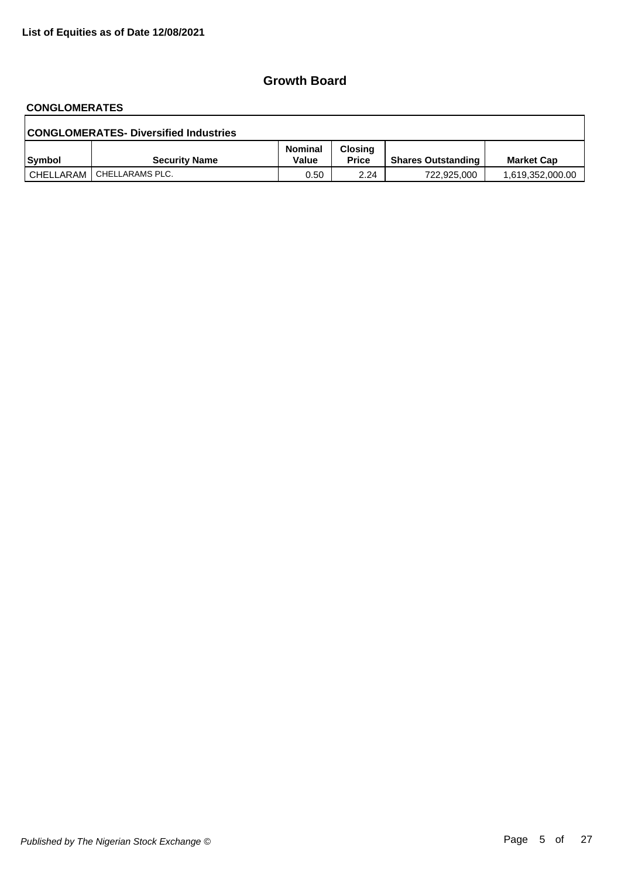# **CONGLOMERATES**

| <b>CONGLOMERATES- Diversified Industries</b> |                             |                         |                                |                           |                   |  |  |
|----------------------------------------------|-----------------------------|-------------------------|--------------------------------|---------------------------|-------------------|--|--|
| Symbol                                       | <b>Security Name</b>        | <b>Nominal</b><br>Value | <b>Closing</b><br><b>Price</b> | <b>Shares Outstanding</b> | <b>Market Cap</b> |  |  |
|                                              | CHELLARAM   CHELLARAMS PLC. | 0.50                    | 2.24                           | 722,925,000               | 1,619,352,000.00  |  |  |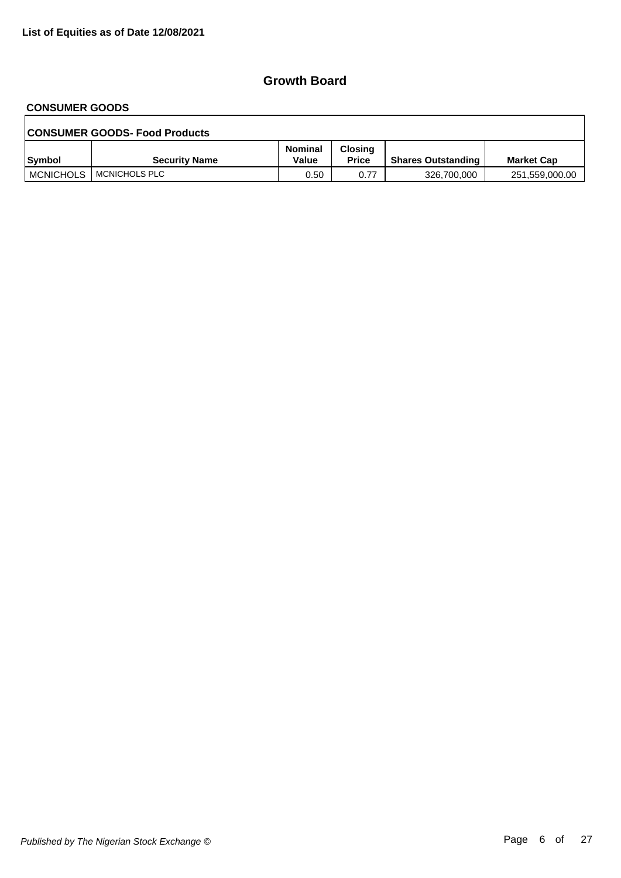# **CONSUMER GOODS**

| <b>CONSUMER GOODS- Food Products</b> |                      |                         |                         |                           |                   |  |  |  |
|--------------------------------------|----------------------|-------------------------|-------------------------|---------------------------|-------------------|--|--|--|
| Symbol                               | <b>Security Name</b> | <b>Nominal</b><br>Value | Closing<br><b>Price</b> | <b>Shares Outstanding</b> | <b>Market Cap</b> |  |  |  |
| <b>MCNICHOLS</b>                     | MCNICHOLS PLC        | 0.50                    | 0.77                    | 326,700,000               | 251,559,000.00    |  |  |  |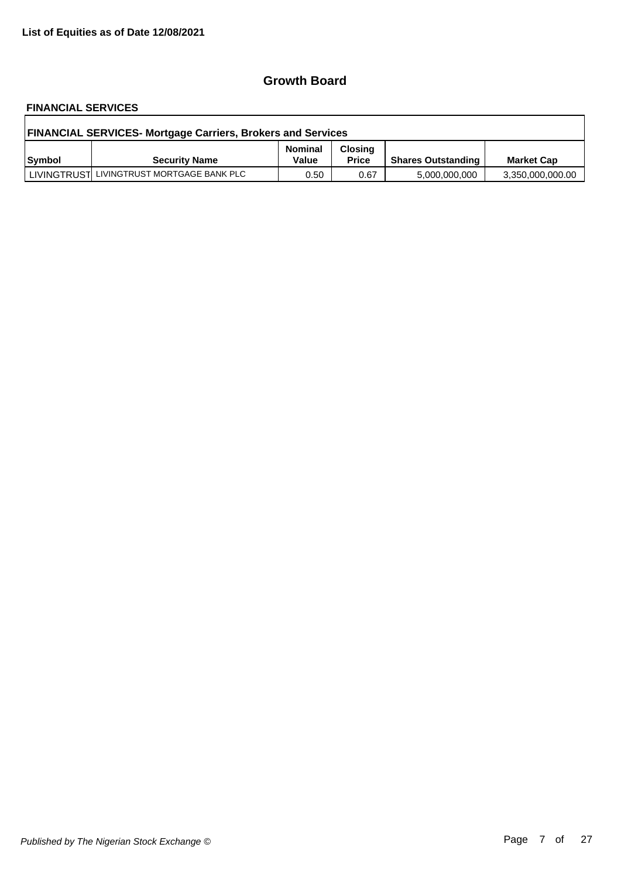# **FINANCIAL SERVICES**

| <b>FINANCIAL SERVICES- Mortgage Carriers, Brokers and Services</b> |                                           |                         |                                |                           |                   |  |  |
|--------------------------------------------------------------------|-------------------------------------------|-------------------------|--------------------------------|---------------------------|-------------------|--|--|
| Symbol                                                             | <b>Security Name</b>                      | <b>Nominal</b><br>Value | <b>Closing</b><br><b>Price</b> | <b>Shares Outstanding</b> | <b>Market Cap</b> |  |  |
|                                                                    | LIVINGTRUST LIVINGTRUST MORTGAGE BANK PLC | 0.50                    | 0.67                           | 5,000,000,000             | 3,350,000,000.00  |  |  |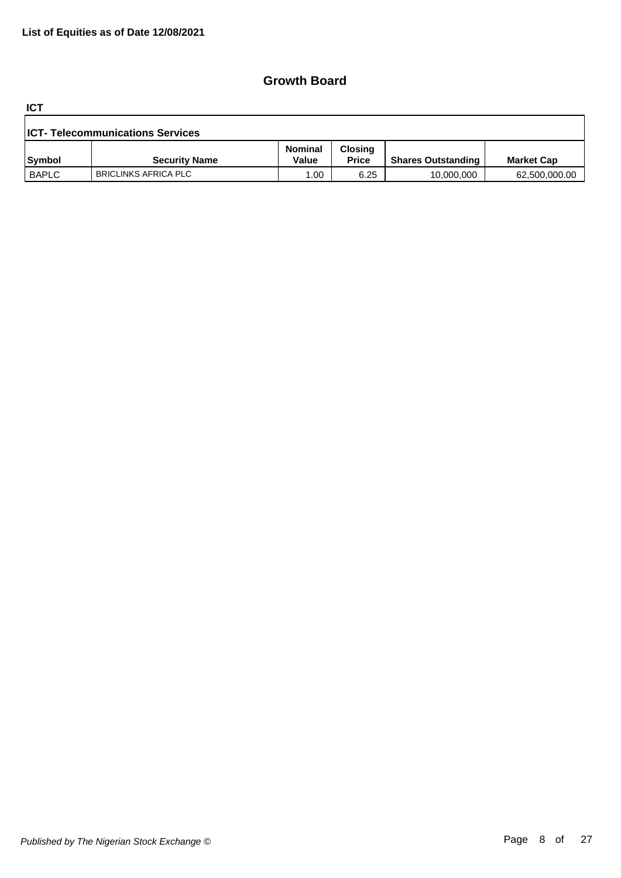**ICT**

| <b>ICT- Telecommunications Services</b> |                      |                         |                                |                           |                   |  |  |
|-----------------------------------------|----------------------|-------------------------|--------------------------------|---------------------------|-------------------|--|--|
| Symbol                                  | <b>Security Name</b> | <b>Nominal</b><br>Value | <b>Closing</b><br><b>Price</b> | <b>Shares Outstanding</b> | <b>Market Cap</b> |  |  |
| <b>BAPLC</b>                            | BRICLINKS AFRICA PLC | .00                     | 6.25                           | 10,000,000                | 62,500,000.00     |  |  |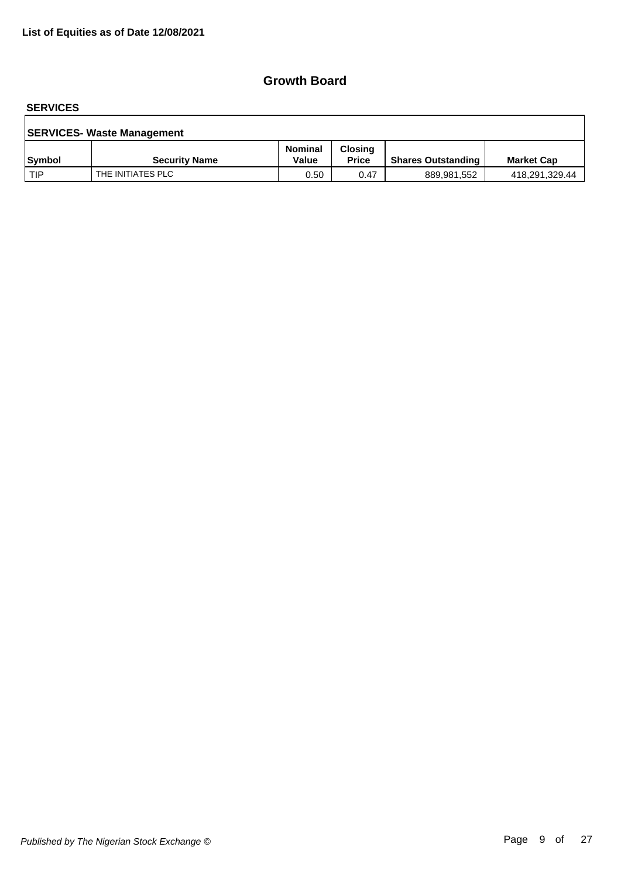#### **SERVICES**

| <b>SERVICES- Waste Management</b> |                      |                         |                                |                           |                   |  |  |  |
|-----------------------------------|----------------------|-------------------------|--------------------------------|---------------------------|-------------------|--|--|--|
| <b>Symbol</b>                     | <b>Security Name</b> | <b>Nominal</b><br>Value | <b>Closing</b><br><b>Price</b> | <b>Shares Outstanding</b> | <b>Market Cap</b> |  |  |  |
| l TIP                             | THE INITIATES PLC    | 0.50                    | 0.47                           | 889,981,552               | 418,291,329.44    |  |  |  |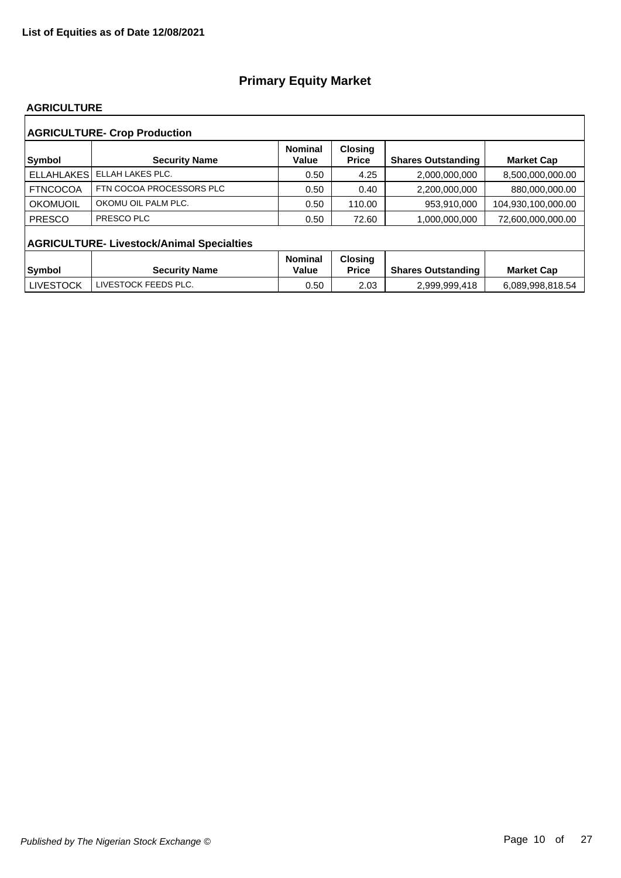#### **AGRICULTURE**

|                   | <b>AGRICULTURE- Crop Production</b>              |                         |                                |                           |                    |
|-------------------|--------------------------------------------------|-------------------------|--------------------------------|---------------------------|--------------------|
| <b>Symbol</b>     | <b>Security Name</b>                             | <b>Nominal</b><br>Value | <b>Closing</b><br><b>Price</b> | <b>Shares Outstanding</b> | <b>Market Cap</b>  |
| <b>ELLAHLAKES</b> | ELLAH LAKES PLC.                                 | 0.50                    | 4.25                           | 2,000,000,000             | 8,500,000,000.00   |
| <b>FTNCOCOA</b>   | FTN COCOA PROCESSORS PLC                         | 0.50                    | 0.40                           | 2,200,000,000             | 880,000,000.00     |
| OKOMUOIL          | OKOMU OIL PALM PLC.                              | 0.50                    | 110.00                         | 953,910,000               | 104,930,100,000.00 |
| <b>PRESCO</b>     | PRESCO PLC                                       | 0.50                    | 72.60                          | 1,000,000,000             | 72,600,000,000.00  |
|                   | <b>AGRICULTURE- Livestock/Animal Specialties</b> |                         |                                |                           |                    |
|                   |                                                  | <b>Nominal</b>          | <b>Closing</b>                 |                           |                    |
| Symbol            | <b>Security Name</b>                             | Value                   | <b>Price</b>                   | <b>Shares Outstanding</b> | <b>Market Cap</b>  |
| <b>LIVESTOCK</b>  | LIVESTOCK FEEDS PLC.                             | 0.50                    | 2.03                           | 2,999,999,418             | 6,089,998,818.54   |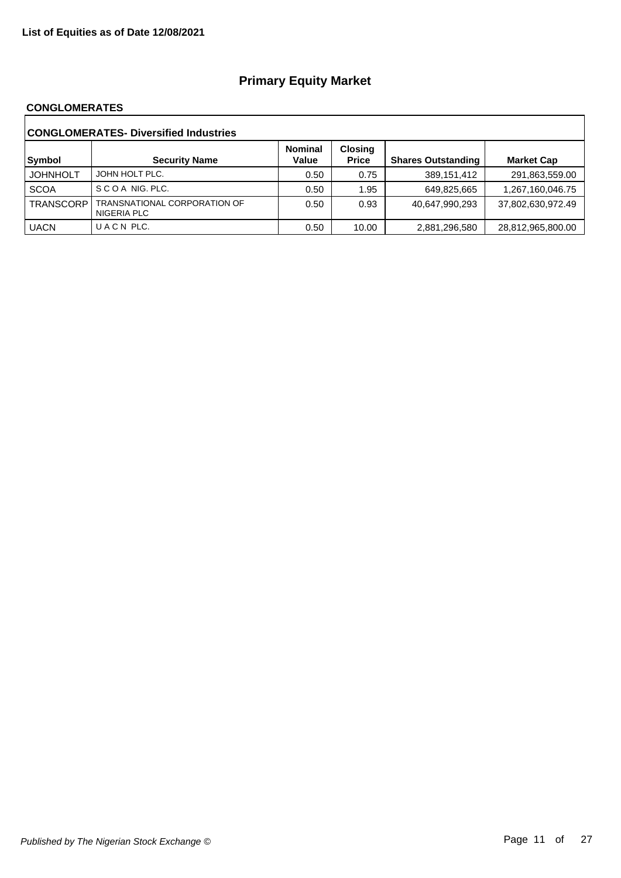#### **CONGLOMERATES**

| <b>CONGLOMERATES- Diversified Industries</b> |                                             |                         |                                |                           |                   |  |  |
|----------------------------------------------|---------------------------------------------|-------------------------|--------------------------------|---------------------------|-------------------|--|--|
| Symbol                                       | <b>Security Name</b>                        | <b>Nominal</b><br>Value | <b>Closing</b><br><b>Price</b> | <b>Shares Outstanding</b> | <b>Market Cap</b> |  |  |
| <b>JOHNHOLT</b>                              | JOHN HOLT PLC.                              | 0.50                    | 0.75                           | 389,151,412               | 291,863,559.00    |  |  |
| <b>SCOA</b>                                  | SCOA NIG. PLC.                              | 0.50                    | 1.95                           | 649,825,665               | 1,267,160,046.75  |  |  |
| <b>TRANSCORP</b>                             | TRANSNATIONAL CORPORATION OF<br>NIGERIA PLC | 0.50                    | 0.93                           | 40.647.990.293            | 37,802,630,972.49 |  |  |
| <b>UACN</b>                                  | UACN PLC.                                   | 0.50                    | 10.00                          | 2,881,296,580             | 28,812,965,800.00 |  |  |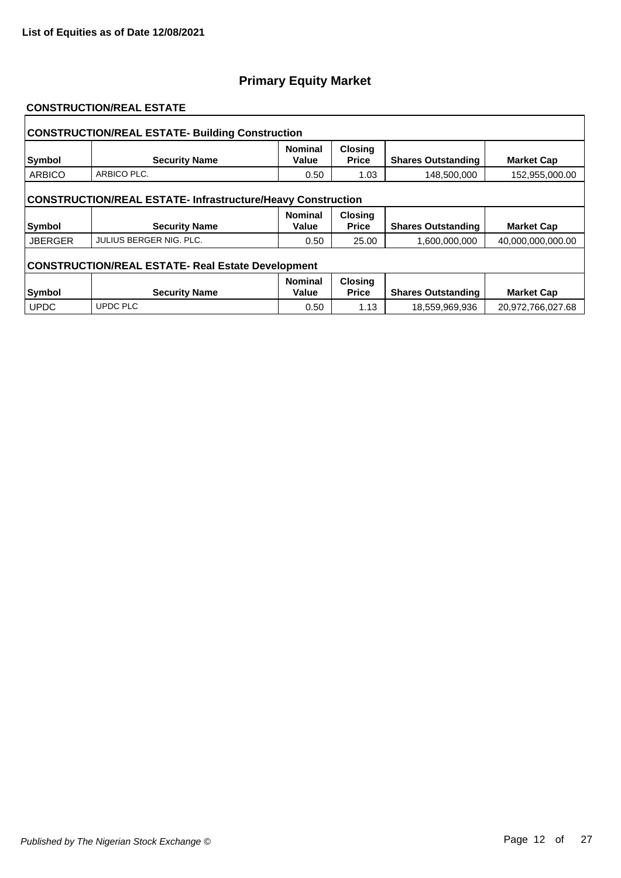#### **CONSTRUCTION/REAL ESTATE**

| <b>CONSTRUCTION/REAL ESTATE- Building Construction</b>             |                         |                         |                                |                           |                   |  |  |  |
|--------------------------------------------------------------------|-------------------------|-------------------------|--------------------------------|---------------------------|-------------------|--|--|--|
| Symbol                                                             | <b>Security Name</b>    | <b>Nominal</b><br>Value | <b>Closing</b><br><b>Price</b> | <b>Shares Outstanding</b> | <b>Market Cap</b> |  |  |  |
| <b>ARBICO</b>                                                      | ARBICO PLC.             | 0.50                    | 1.03                           | 148,500,000               | 152,955,000.00    |  |  |  |
| <b>CONSTRUCTION/REAL ESTATE- Infrastructure/Heavy Construction</b> |                         |                         |                                |                           |                   |  |  |  |
| <b>Symbol</b>                                                      | <b>Security Name</b>    | <b>Nominal</b><br>Value | <b>Closing</b><br><b>Price</b> | <b>Shares Outstanding</b> | <b>Market Cap</b> |  |  |  |
| <b>JBERGER</b>                                                     | JULIUS BERGER NIG. PLC. | 0.50                    | 25.00                          | 1,600,000,000             | 40,000,000,000.00 |  |  |  |
| <b>CONSTRUCTION/REAL ESTATE- Real Estate Development</b>           |                         |                         |                                |                           |                   |  |  |  |
| Symbol                                                             | <b>Security Name</b>    | <b>Nominal</b><br>Value | <b>Closing</b><br><b>Price</b> | <b>Shares Outstanding</b> | <b>Market Cap</b> |  |  |  |
| <b>UPDC</b>                                                        | <b>UPDC PLC</b>         | 0.50                    | 1.13                           | 18,559,969,936            | 20,972,766,027.68 |  |  |  |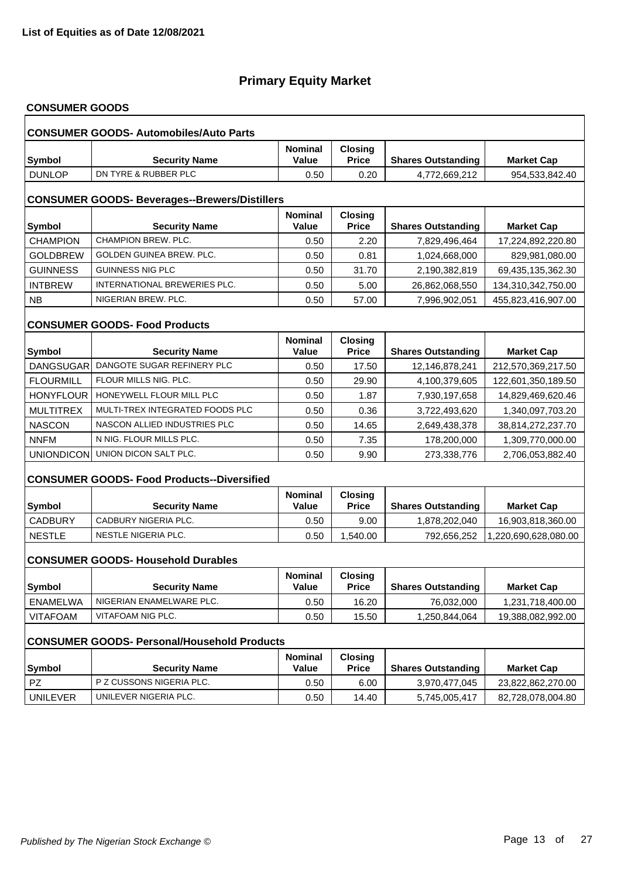# **CONSUMER GOODS**

| <b>CONSUMER GOODS- Automobiles/Auto Parts</b>        |                                                    |                                |                                |                           |                      |  |  |  |
|------------------------------------------------------|----------------------------------------------------|--------------------------------|--------------------------------|---------------------------|----------------------|--|--|--|
| <b>Symbol</b>                                        | <b>Security Name</b>                               | <b>Nominal</b><br>Value        | <b>Closing</b><br><b>Price</b> | <b>Shares Outstanding</b> | <b>Market Cap</b>    |  |  |  |
| <b>DUNLOP</b>                                        | DN TYRE & RUBBER PLC                               | 0.50                           | 0.20                           | 4,772,669,212             | 954,533,842.40       |  |  |  |
| <b>CONSUMER GOODS- Beverages--Brewers/Distillers</b> |                                                    |                                |                                |                           |                      |  |  |  |
| <b>Symbol</b>                                        | <b>Security Name</b>                               | <b>Nominal</b><br>Value        | <b>Closing</b><br><b>Price</b> | <b>Shares Outstanding</b> | <b>Market Cap</b>    |  |  |  |
| <b>CHAMPION</b>                                      | CHAMPION BREW, PLC.                                | 0.50                           | 2.20                           | 7,829,496,464             | 17,224,892,220.80    |  |  |  |
| <b>GOLDBREW</b>                                      | GOLDEN GUINEA BREW. PLC.                           | 0.50                           | 0.81                           | 1,024,668,000             | 829,981,080.00       |  |  |  |
| <b>GUINNESS</b>                                      | <b>GUINNESS NIG PLC</b>                            | 0.50                           | 31.70                          | 2,190,382,819             | 69,435,135,362.30    |  |  |  |
| <b>INTBREW</b>                                       | INTERNATIONAL BREWERIES PLC.                       | 0.50                           | 5.00                           | 26,862,068,550            | 134,310,342,750.00   |  |  |  |
| <b>NB</b>                                            | NIGERIAN BREW. PLC.                                | 0.50                           | 57.00                          | 7,996,902,051             | 455,823,416,907.00   |  |  |  |
|                                                      | <b>CONSUMER GOODS- Food Products</b>               |                                |                                |                           |                      |  |  |  |
| <b>Symbol</b>                                        | <b>Security Name</b>                               | <b>Nominal</b><br><b>Value</b> | <b>Closing</b><br><b>Price</b> | <b>Shares Outstanding</b> | <b>Market Cap</b>    |  |  |  |
| <b>DANGSUGAR</b>                                     | DANGOTE SUGAR REFINERY PLC                         | 0.50                           | 17.50                          | 12,146,878,241            | 212,570,369,217.50   |  |  |  |
| <b>FLOURMILL</b>                                     | FLOUR MILLS NIG. PLC.                              | 0.50                           | 29.90                          | 4,100,379,605             | 122,601,350,189.50   |  |  |  |
| <b>HONYFLOUR</b>                                     | HONEYWELL FLOUR MILL PLC                           | 0.50                           | 1.87                           | 7,930,197,658             | 14,829,469,620.46    |  |  |  |
| <b>MULTITREX</b>                                     | MULTI-TREX INTEGRATED FOODS PLC                    | 0.50                           | 0.36                           | 3,722,493,620             | 1,340,097,703.20     |  |  |  |
| <b>NASCON</b>                                        | NASCON ALLIED INDUSTRIES PLC                       | 0.50                           | 14.65                          | 2,649,438,378             | 38,814,272,237.70    |  |  |  |
| <b>NNFM</b>                                          | N NIG. FLOUR MILLS PLC.                            | 0.50                           | 7.35                           | 178,200,000               | 1,309,770,000.00     |  |  |  |
| UNIONDICON                                           | UNION DICON SALT PLC.                              | 0.50                           | 9.90                           | 273,338,776               | 2,706,053,882.40     |  |  |  |
|                                                      | <b>CONSUMER GOODS- Food Products--Diversified</b>  |                                |                                |                           |                      |  |  |  |
| <b>Symbol</b>                                        | <b>Security Name</b>                               | <b>Nominal</b><br>Value        | <b>Closing</b><br><b>Price</b> | <b>Shares Outstanding</b> | <b>Market Cap</b>    |  |  |  |
| <b>CADBURY</b>                                       | CADBURY NIGERIA PLC.                               | 0.50                           | 9.00                           | 1,878,202,040             | 16,903,818,360.00    |  |  |  |
| <b>NESTLE</b>                                        | NESTLE NIGERIA PLC.                                | 0.50                           | 1,540.00                       | 792,656,252               | 1,220,690,628,080.00 |  |  |  |
|                                                      | <b>CONSUMER GOODS- Household Durables</b>          |                                |                                |                           |                      |  |  |  |
| Symbol                                               | <b>Security Name</b>                               | <b>Nominal</b><br><b>Value</b> | <b>Closing</b><br><b>Price</b> | <b>Shares Outstanding</b> | <b>Market Cap</b>    |  |  |  |
| <b>ENAMELWA</b>                                      | NIGERIAN ENAMELWARE PLC.                           | 0.50                           | 16.20                          | 76,032,000                | 1,231,718,400.00     |  |  |  |
| <b>VITAFOAM</b>                                      | VITAFOAM NIG PLC.                                  | 0.50                           | 15.50                          | 1,250,844,064             | 19,388,082,992.00    |  |  |  |
|                                                      | <b>CONSUMER GOODS- Personal/Household Products</b> |                                |                                |                           |                      |  |  |  |
| <b>Symbol</b>                                        | <b>Security Name</b>                               | Nominal<br>Value               | <b>Closing</b><br><b>Price</b> | <b>Shares Outstanding</b> | <b>Market Cap</b>    |  |  |  |
| PZ                                                   | P Z CUSSONS NIGERIA PLC.                           | 0.50                           | 6.00                           | 3,970,477,045             | 23,822,862,270.00    |  |  |  |
| <b>UNILEVER</b>                                      | UNILEVER NIGERIA PLC.                              | 0.50                           | 14.40                          | 5,745,005,417             | 82,728,078,004.80    |  |  |  |
|                                                      |                                                    |                                |                                |                           |                      |  |  |  |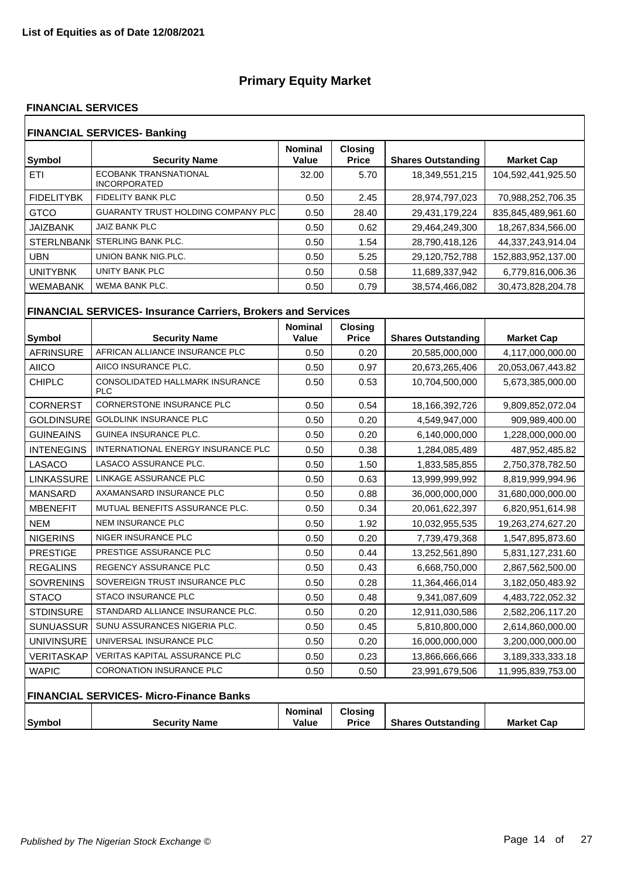#### **FINANCIAL SERVICES**

| <b>FINANCIAL SERVICES- Banking</b> |                                                     |                         |                                |                           |                    |  |  |
|------------------------------------|-----------------------------------------------------|-------------------------|--------------------------------|---------------------------|--------------------|--|--|
| Symbol                             | <b>Security Name</b>                                | <b>Nominal</b><br>Value | <b>Closing</b><br><b>Price</b> | <b>Shares Outstanding</b> | <b>Market Cap</b>  |  |  |
| ETI                                | <b>ECOBANK TRANSNATIONAL</b><br><b>INCORPORATED</b> | 32.00                   | 5.70                           | 18,349,551,215            | 104,592,441,925.50 |  |  |
| <b>FIDELITYBK</b>                  | FIDELITY BANK PLC                                   | 0.50                    | 2.45                           | 28,974,797,023            | 70,988,252,706.35  |  |  |
| <b>GTCO</b>                        | <b>GUARANTY TRUST HOLDING COMPANY PLC</b>           | 0.50                    | 28.40                          | 29,431,179,224            | 835,845,489,961.60 |  |  |
| <b>JAIZBANK</b>                    | JAIZ BANK PLC                                       | 0.50                    | 0.62                           | 29,464,249,300            | 18,267,834,566.00  |  |  |
| <b>STERLNBANK</b>                  | STERLING BANK PLC.                                  | 0.50                    | 1.54                           | 28,790,418,126            | 44,337,243,914.04  |  |  |
| UBN                                | UNION BANK NIG.PLC.                                 | 0.50                    | 5.25                           | 29,120,752,788            | 152,883,952,137.00 |  |  |
| <b>UNITYBNK</b>                    | UNITY BANK PLC                                      | 0.50                    | 0.58                           | 11,689,337,942            | 6,779,816,006.36   |  |  |
| <b>WEMABANK</b>                    | WEMA BANK PLC.                                      | 0.50                    | 0.79                           | 38,574,466,082            | 30,473,828,204.78  |  |  |

# **FINANCIAL SERVICES- Insurance Carriers, Brokers and Services**

| <b>Symbol</b>     | <b>Security Name</b>                                 | <b>Nominal</b><br>Value | <b>Closing</b><br><b>Price</b> | <b>Shares Outstanding</b> | <b>Market Cap</b> |
|-------------------|------------------------------------------------------|-------------------------|--------------------------------|---------------------------|-------------------|
| <b>AFRINSURE</b>  | AFRICAN ALLIANCE INSURANCE PLC                       | 0.50                    | 0.20                           | 20,585,000,000            | 4,117,000,000.00  |
| <b>AIICO</b>      | AIICO INSURANCE PLC.                                 | 0.50                    | 0.97                           | 20,673,265,406            | 20,053,067,443.82 |
| <b>CHIPLC</b>     | <b>CONSOLIDATED HALLMARK INSURANCE</b><br><b>PLC</b> | 0.50                    | 0.53                           | 10,704,500,000            | 5,673,385,000.00  |
| <b>CORNERST</b>   | <b>CORNERSTONE INSURANCE PLC</b>                     | 0.50                    | 0.54                           | 18,166,392,726            | 9,809,852,072.04  |
| <b>GOLDINSURE</b> | <b>GOLDLINK INSURANCE PLC</b>                        | 0.50                    | 0.20                           | 4,549,947,000             | 909,989,400.00    |
| <b>GUINEAINS</b>  | <b>GUINEA INSURANCE PLC.</b>                         | 0.50                    | 0.20                           | 6,140,000,000             | 1,228,000,000.00  |
| <b>INTENEGINS</b> | INTERNATIONAL ENERGY INSURANCE PLC                   | 0.50                    | 0.38                           | 1,284,085,489             | 487,952,485.82    |
| LASACO            | LASACO ASSURANCE PLC.                                | 0.50                    | 1.50                           | 1,833,585,855             | 2,750,378,782.50  |
| LINKASSURE İ      | LINKAGE ASSURANCE PLC                                | 0.50                    | 0.63                           | 13,999,999,992            | 8,819,999,994.96  |
| <b>MANSARD</b>    | AXAMANSARD INSURANCE PLC                             | 0.50                    | 0.88                           | 36,000,000,000            | 31,680,000,000.00 |
| <b>MBENEFIT</b>   | MUTUAL BENEFITS ASSURANCE PLC.                       | 0.50                    | 0.34                           | 20,061,622,397            | 6,820,951,614.98  |
| <b>NEM</b>        | <b>NEM INSURANCE PLC</b>                             | 0.50                    | 1.92                           | 10,032,955,535            | 19,263,274,627.20 |
| <b>NIGERINS</b>   | NIGER INSURANCE PLC                                  | 0.50                    | 0.20                           | 7,739,479,368             | 1,547,895,873.60  |
| <b>PRESTIGE</b>   | PRESTIGE ASSURANCE PLC                               | 0.50                    | 0.44                           | 13,252,561,890            | 5,831,127,231.60  |
| <b>REGALINS</b>   | <b>REGENCY ASSURANCE PLC</b>                         | 0.50                    | 0.43                           | 6,668,750,000             | 2,867,562,500.00  |
| <b>SOVRENINS</b>  | SOVEREIGN TRUST INSURANCE PLC                        | 0.50                    | 0.28                           | 11,364,466,014            | 3,182,050,483.92  |
| <b>STACO</b>      | <b>STACO INSURANCE PLC</b>                           | 0.50                    | 0.48                           | 9,341,087,609             | 4,483,722,052.32  |
| <b>STDINSURE</b>  | STANDARD ALLIANCE INSURANCE PLC.                     | 0.50                    | 0.20                           | 12,911,030,586            | 2,582,206,117.20  |
| <b>SUNUASSUR</b>  | SUNU ASSURANCES NIGERIA PLC.                         | 0.50                    | 0.45                           | 5,810,800,000             | 2,614,860,000.00  |
| <b>UNIVINSURE</b> | UNIVERSAL INSURANCE PLC                              | 0.50                    | 0.20                           | 16,000,000,000            | 3,200,000,000.00  |
| VERITASKAP        | <b>VERITAS KAPITAL ASSURANCE PLC</b>                 | 0.50                    | 0.23                           | 13,866,666,666            | 3,189,333,333.18  |
| <b>WAPIC</b>      | <b>CORONATION INSURANCE PLC</b>                      | 0.50                    | 0.50                           | 23,991,679,506            | 11,995,839,753.00 |
|                   | FINANCIAL SERVICES- Micro-Finance Banks              |                         |                                |                           |                   |
| Symbol            | <b>Security Name</b>                                 | <b>Nominal</b><br>Value | <b>Closing</b><br><b>Price</b> | <b>Shares Outstanding</b> | <b>Market Cap</b> |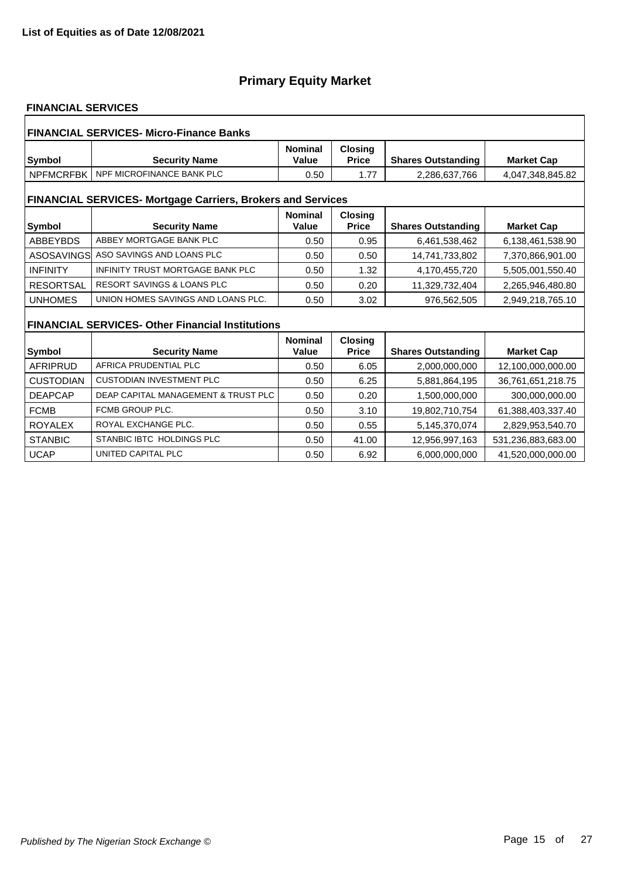### **FINANCIAL SERVICES**

| <b>FINANCIAL SERVICES- Micro-Finance Banks</b>                     |                                                         |                         |                                |                           |                    |  |  |
|--------------------------------------------------------------------|---------------------------------------------------------|-------------------------|--------------------------------|---------------------------|--------------------|--|--|
| Symbol                                                             | <b>Security Name</b>                                    | <b>Nominal</b><br>Value | <b>Closing</b><br><b>Price</b> | <b>Shares Outstanding</b> | <b>Market Cap</b>  |  |  |
| <b>NPFMCRFBK</b>                                                   | NPF MICROFINANCE BANK PLC                               | 0.50                    | 1.77                           | 2,286,637,766             | 4,047,348,845.82   |  |  |
| <b>FINANCIAL SERVICES- Mortgage Carriers, Brokers and Services</b> |                                                         |                         |                                |                           |                    |  |  |
| Symbol                                                             | <b>Security Name</b>                                    | <b>Nominal</b><br>Value | <b>Closing</b><br><b>Price</b> | <b>Shares Outstanding</b> | <b>Market Cap</b>  |  |  |
| <b>ABBEYBDS</b>                                                    | ABBEY MORTGAGE BANK PLC                                 | 0.50                    | 0.95                           | 6,461,538,462             | 6,138,461,538.90   |  |  |
| ASOSAVINGSI                                                        | ASO SAVINGS AND LOANS PLC                               | 0.50                    | 0.50                           | 14,741,733,802            | 7,370,866,901.00   |  |  |
| <b>INFINITY</b>                                                    | INFINITY TRUST MORTGAGE BANK PLC                        | 0.50                    | 1.32                           | 4,170,455,720             | 5,505,001,550.40   |  |  |
| <b>RESORTSAL</b>                                                   | <b>RESORT SAVINGS &amp; LOANS PLC</b>                   | 0.50                    | 0.20                           | 11,329,732,404            | 2,265,946,480.80   |  |  |
| <b>UNHOMES</b>                                                     | UNION HOMES SAVINGS AND LOANS PLC.                      | 0.50                    | 3.02                           | 976,562,505               | 2,949,218,765.10   |  |  |
|                                                                    | <b>FINANCIAL SERVICES- Other Financial Institutions</b> |                         |                                |                           |                    |  |  |
| <b>Symbol</b>                                                      | <b>Security Name</b>                                    | <b>Nominal</b><br>Value | <b>Closing</b><br><b>Price</b> | <b>Shares Outstanding</b> | <b>Market Cap</b>  |  |  |
| <b>AFRIPRUD</b>                                                    | AFRICA PRUDENTIAL PLC                                   | 0.50                    | 6.05                           | 2,000,000,000             | 12,100,000,000.00  |  |  |
| <b>CUSTODIAN</b>                                                   | <b>CUSTODIAN INVESTMENT PLC</b>                         | 0.50                    | 6.25                           | 5,881,864,195             | 36,761,651,218.75  |  |  |
| <b>DEAPCAP</b>                                                     | DEAP CAPITAL MANAGEMENT & TRUST PLC                     | 0.50                    | 0.20                           | 1,500,000,000             | 300,000,000.00     |  |  |
| <b>FCMB</b>                                                        | FCMB GROUP PLC.                                         | 0.50                    | 3.10                           | 19,802,710,754            | 61,388,403,337.40  |  |  |
| <b>ROYALEX</b>                                                     | ROYAL EXCHANGE PLC.                                     | 0.50                    | 0.55                           | 5,145,370,074             | 2,829,953,540.70   |  |  |
| <b>STANBIC</b>                                                     | STANBIC IBTC HOLDINGS PLC                               | 0.50                    | 41.00                          | 12,956,997,163            | 531,236,883,683.00 |  |  |
| <b>UCAP</b>                                                        | UNITED CAPITAL PLC                                      | 0.50                    | 6.92                           | 6.000.000.000             | 41.520.000.000.00  |  |  |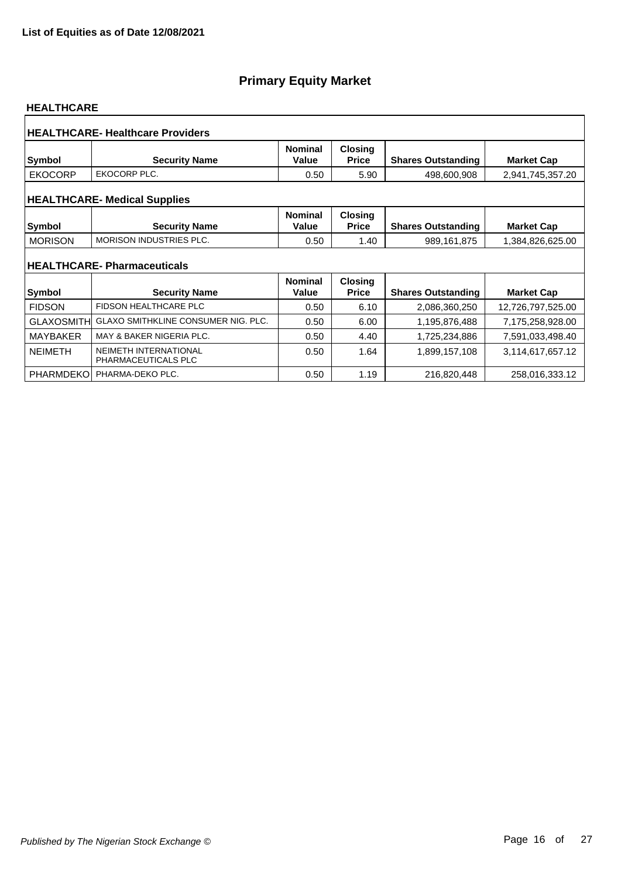#### **HEALTHCARE**

|                   | <b>HEALTHCARE- Healthcare Providers</b>                   |                         |                                |                           |                   |
|-------------------|-----------------------------------------------------------|-------------------------|--------------------------------|---------------------------|-------------------|
| <b>Symbol</b>     | <b>Security Name</b>                                      | <b>Nominal</b><br>Value | <b>Closing</b><br><b>Price</b> | <b>Shares Outstanding</b> | <b>Market Cap</b> |
| <b>EKOCORP</b>    | EKOCORP PLC.                                              | 0.50                    | 5.90                           | 498,600,908               | 2,941,745,357.20  |
|                   | <b>HEALTHCARE- Medical Supplies</b>                       |                         |                                |                           |                   |
| <b>Symbol</b>     | <b>Security Name</b>                                      | <b>Nominal</b><br>Value | <b>Closing</b><br><b>Price</b> | <b>Shares Outstanding</b> | <b>Market Cap</b> |
| <b>MORISON</b>    | <b>MORISON INDUSTRIES PLC.</b>                            | 0.50                    | 1.40                           | 989,161,875               | 1,384,826,625.00  |
| Symbol            | <b>HEALTHCARE-Pharmaceuticals</b><br><b>Security Name</b> | <b>Nominal</b><br>Value | <b>Closing</b><br><b>Price</b> | <b>Shares Outstanding</b> | <b>Market Cap</b> |
| <b>FIDSON</b>     | <b>FIDSON HEALTHCARE PLC</b>                              | 0.50                    | 6.10                           | 2,086,360,250             | 12,726,797,525.00 |
| <b>GLAXOSMITH</b> | GLAXO SMITHKLINE CONSUMER NIG. PLC.                       | 0.50                    | 6.00                           | 1,195,876,488             | 7,175,258,928.00  |
| <b>MAYBAKER</b>   | MAY & BAKER NIGERIA PLC.                                  | 0.50                    | 4.40                           | 1,725,234,886             | 7,591,033,498.40  |
| <b>NEIMETH</b>    | NEIMETH INTERNATIONAL<br>PHARMACEUTICALS PLC              | 0.50                    | 1.64                           | 1,899,157,108             | 3,114,617,657.12  |
| <b>PHARMDEKO</b>  | PHARMA-DEKO PLC.                                          | 0.50                    | 1.19                           | 216,820,448               | 258,016,333.12    |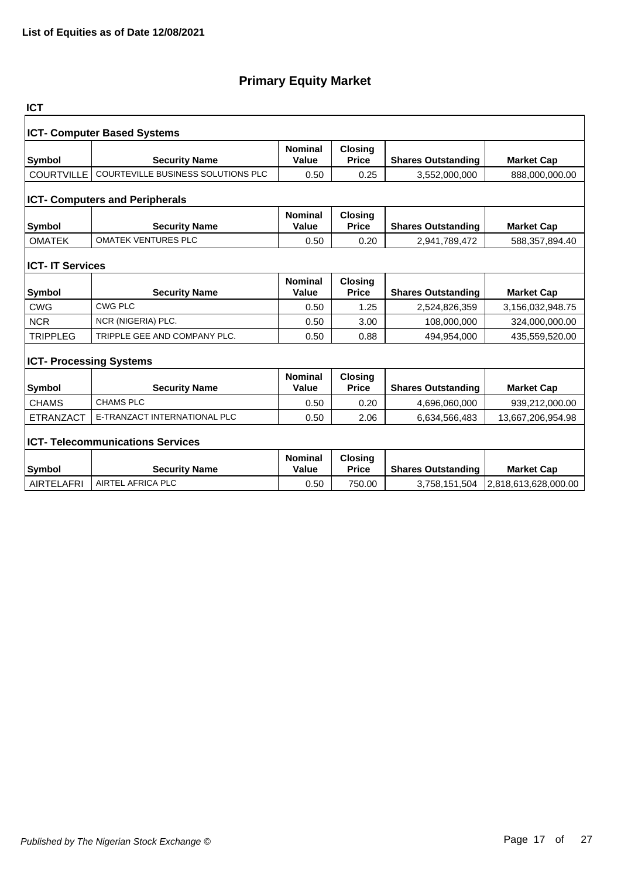| <b>ICT</b>                     |                                           |                         |                                |                           |                      |
|--------------------------------|-------------------------------------------|-------------------------|--------------------------------|---------------------------|----------------------|
|                                | <b>ICT- Computer Based Systems</b>        |                         |                                |                           |                      |
| <b>Symbol</b>                  | <b>Security Name</b>                      | <b>Nominal</b><br>Value | <b>Closing</b><br><b>Price</b> | <b>Shares Outstanding</b> | <b>Market Cap</b>    |
| <b>COURTVILLE</b>              | <b>COURTEVILLE BUSINESS SOLUTIONS PLC</b> | 0.50                    | 0.25                           | 3,552,000,000             | 888,000,000.00       |
|                                | <b>ICT- Computers and Peripherals</b>     |                         |                                |                           |                      |
| <b>Symbol</b>                  | <b>Security Name</b>                      | <b>Nominal</b><br>Value | <b>Closing</b><br><b>Price</b> | <b>Shares Outstanding</b> | <b>Market Cap</b>    |
| <b>OMATEK</b>                  | <b>OMATEK VENTURES PLC</b>                | 0.50                    | 0.20                           | 2,941,789,472             | 588,357,894.40       |
| <b>ICT- IT Services</b>        |                                           |                         |                                |                           |                      |
| <b>Symbol</b>                  | <b>Security Name</b>                      | <b>Nominal</b><br>Value | <b>Closing</b><br><b>Price</b> | <b>Shares Outstanding</b> | <b>Market Cap</b>    |
| <b>CWG</b>                     | <b>CWG PLC</b>                            | 0.50                    | 1.25                           | 2,524,826,359             | 3,156,032,948.75     |
| <b>NCR</b>                     | NCR (NIGERIA) PLC.                        | 0.50                    | 3.00                           | 108,000,000               | 324,000,000.00       |
| <b>TRIPPLEG</b>                | TRIPPLE GEE AND COMPANY PLC.              | 0.50                    | 0.88                           | 494,954,000               | 435,559,520.00       |
| <b>ICT- Processing Systems</b> |                                           |                         |                                |                           |                      |
| <b>Symbol</b>                  | <b>Security Name</b>                      | <b>Nominal</b><br>Value | Closing<br><b>Price</b>        | <b>Shares Outstanding</b> | <b>Market Cap</b>    |
| <b>CHAMS</b>                   | <b>CHAMS PLC</b>                          | 0.50                    | 0.20                           | 4,696,060,000             | 939,212,000.00       |
| <b>ETRANZACT</b>               | E-TRANZACT INTERNATIONAL PLC              | 0.50                    | 2.06                           | 6,634,566,483             | 13,667,206,954.98    |
|                                | <b>ICT- Telecommunications Services</b>   |                         |                                |                           |                      |
| <b>Symbol</b>                  | <b>Security Name</b>                      | <b>Nominal</b><br>Value | <b>Closing</b><br><b>Price</b> | <b>Shares Outstanding</b> | <b>Market Cap</b>    |
| <b>AIRTELAFRI</b>              | AIRTEL AFRICA PLC                         | 0.50                    | 750.00                         | 3,758,151,504             | 2,818,613,628,000.00 |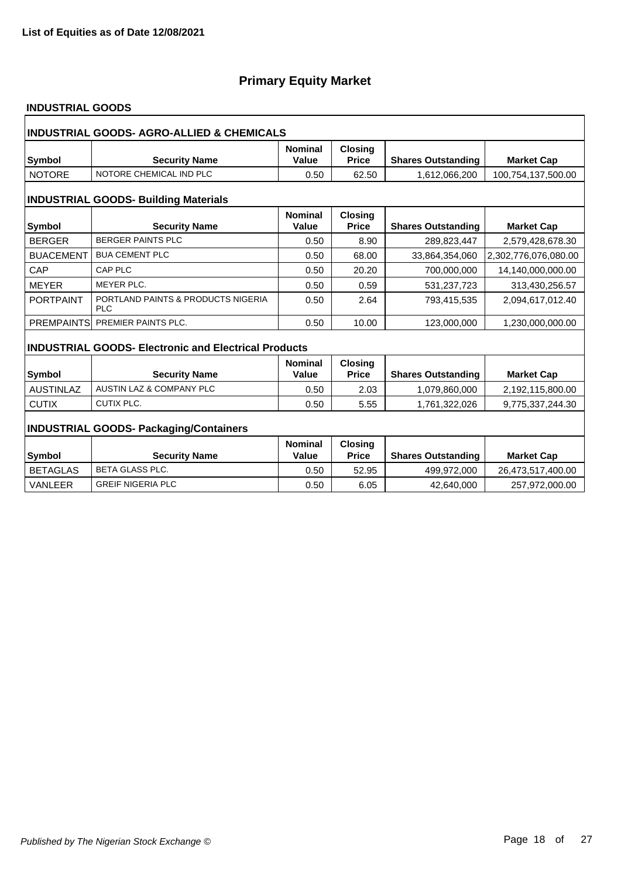### **INDUSTRIAL GOODS**

|                  | <b>INDUSTRIAL GOODS- AGRO-ALLIED &amp; CHEMICALS</b>        |                                |                                |                           |                      |
|------------------|-------------------------------------------------------------|--------------------------------|--------------------------------|---------------------------|----------------------|
| Symbol           | <b>Security Name</b>                                        | <b>Nominal</b><br>Value        | <b>Closing</b><br><b>Price</b> | <b>Shares Outstanding</b> | <b>Market Cap</b>    |
| <b>NOTORE</b>    | NOTORE CHEMICAL IND PLC                                     | 0.50                           | 62.50                          | 1,612,066,200             | 100,754,137,500.00   |
|                  | <b>INDUSTRIAL GOODS- Building Materials</b>                 |                                |                                |                           |                      |
| Symbol           | <b>Security Name</b>                                        | <b>Nominal</b><br><b>Value</b> | <b>Closing</b><br><b>Price</b> | <b>Shares Outstanding</b> | <b>Market Cap</b>    |
| <b>BERGER</b>    | <b>BERGER PAINTS PLC</b>                                    | 0.50                           | 8.90                           | 289,823,447               | 2,579,428,678.30     |
| <b>BUACEMENT</b> | <b>BUA CEMENT PLC</b>                                       | 0.50                           | 68.00                          | 33,864,354,060            | 2,302,776,076,080.00 |
| CAP              | CAP PLC                                                     | 0.50                           | 20.20                          | 700,000,000               | 14,140,000,000.00    |
| <b>MEYER</b>     | <b>MEYER PLC.</b>                                           | 0.50                           | 0.59                           | 531,237,723               | 313,430,256.57       |
| <b>PORTPAINT</b> | PORTLAND PAINTS & PRODUCTS NIGERIA<br><b>PLC</b>            | 0.50                           | 2.64                           | 793,415,535               | 2,094,617,012.40     |
| PREMPAINTS       | PREMIER PAINTS PLC.                                         | 0.50                           | 10.00                          | 123.000.000               | 1.230.000.000.00     |
|                  | <b>INDUSTRIAL GOODS- Electronic and Electrical Products</b> |                                |                                |                           |                      |
|                  |                                                             | <b>Nominal</b>                 | <b>Closing</b>                 |                           |                      |
| Symbol           | <b>Security Name</b>                                        | <b>Value</b>                   | <b>Price</b>                   | <b>Shares Outstanding</b> | <b>Market Cap</b>    |
| <b>AUSTINLAZ</b> | AUSTIN LAZ & COMPANY PLC                                    | 0.50                           | 2.03                           | 1,079,860,000             | 2,192,115,800.00     |
| <b>CUTIX</b>     | <b>CUTIX PLC.</b>                                           | 0.50                           | 5.55                           | 1,761,322,026             | 9,775,337,244.30     |
|                  | <b>INDUSTRIAL GOODS- Packaging/Containers</b>               |                                |                                |                           |                      |
| Symbol           | <b>Security Name</b>                                        | <b>Nominal</b><br><b>Value</b> | <b>Closing</b><br><b>Price</b> | <b>Shares Outstanding</b> | <b>Market Cap</b>    |
| <b>BETAGLAS</b>  | <b>BETA GLASS PLC.</b>                                      | 0.50                           | 52.95                          | 499,972,000               | 26,473,517,400.00    |
| <b>VANLEER</b>   | <b>GREIF NIGERIA PLC</b>                                    | 0.50                           | 6.05                           | 42,640,000                | 257,972,000.00       |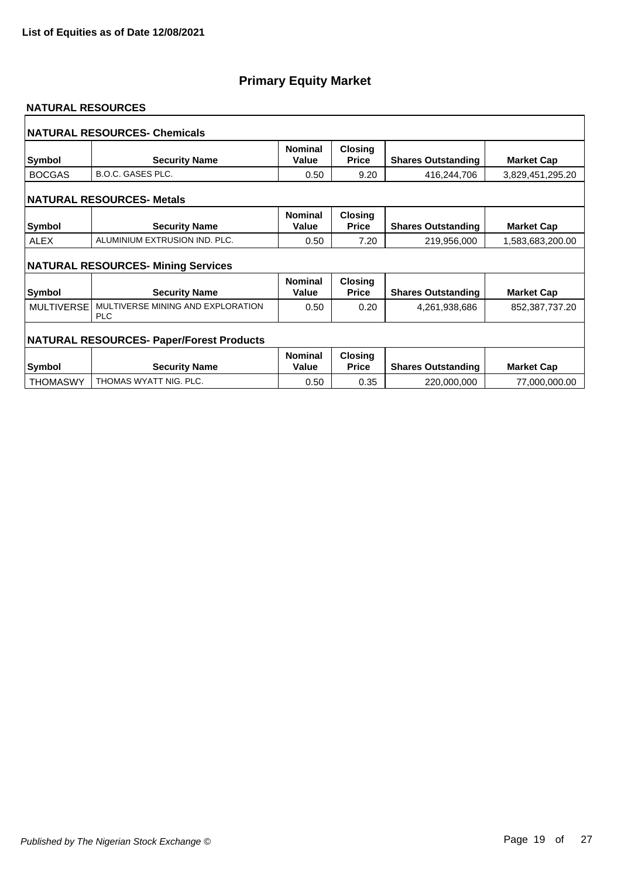#### **NATURAL RESOURCES**

|                   | <b>NATURAL RESOURCES- Chemicals</b>             |                         |                                |                           |                   |
|-------------------|-------------------------------------------------|-------------------------|--------------------------------|---------------------------|-------------------|
| <b>Symbol</b>     | <b>Security Name</b>                            | <b>Nominal</b><br>Value | <b>Closing</b><br><b>Price</b> | <b>Shares Outstanding</b> | <b>Market Cap</b> |
| <b>BOCGAS</b>     | <b>B.O.C. GASES PLC.</b>                        | 0.50                    | 9.20                           | 416,244,706               | 3,829,451,295.20  |
|                   | <b>NATURAL RESOURCES- Metals</b>                |                         |                                |                           |                   |
| <b>Symbol</b>     | <b>Security Name</b>                            | <b>Nominal</b><br>Value | Closing<br><b>Price</b>        | <b>Shares Outstanding</b> | <b>Market Cap</b> |
| <b>ALEX</b>       | ALUMINIUM EXTRUSION IND. PLC.                   | 0.50                    | 7.20                           | 219,956,000               | 1,583,683,200.00  |
|                   | <b>NATURAL RESOURCES- Mining Services</b>       |                         |                                |                           |                   |
| <b>Symbol</b>     | <b>Security Name</b>                            | <b>Nominal</b><br>Value | <b>Closing</b><br><b>Price</b> | <b>Shares Outstanding</b> | <b>Market Cap</b> |
| <b>MULTIVERSE</b> | MULTIVERSE MINING AND EXPLORATION<br><b>PLC</b> | 0.50                    | 0.20                           | 4,261,938,686             | 852,387,737.20    |
|                   | <b>NATURAL RESOURCES- Paper/Forest Products</b> |                         |                                |                           |                   |
| <b>Symbol</b>     | <b>Security Name</b>                            | <b>Nominal</b><br>Value | <b>Closing</b><br><b>Price</b> | <b>Shares Outstanding</b> | <b>Market Cap</b> |
| <b>THOMASWY</b>   | THOMAS WYATT NIG. PLC.                          | 0.50                    | 0.35                           | 220,000,000               | 77,000,000.00     |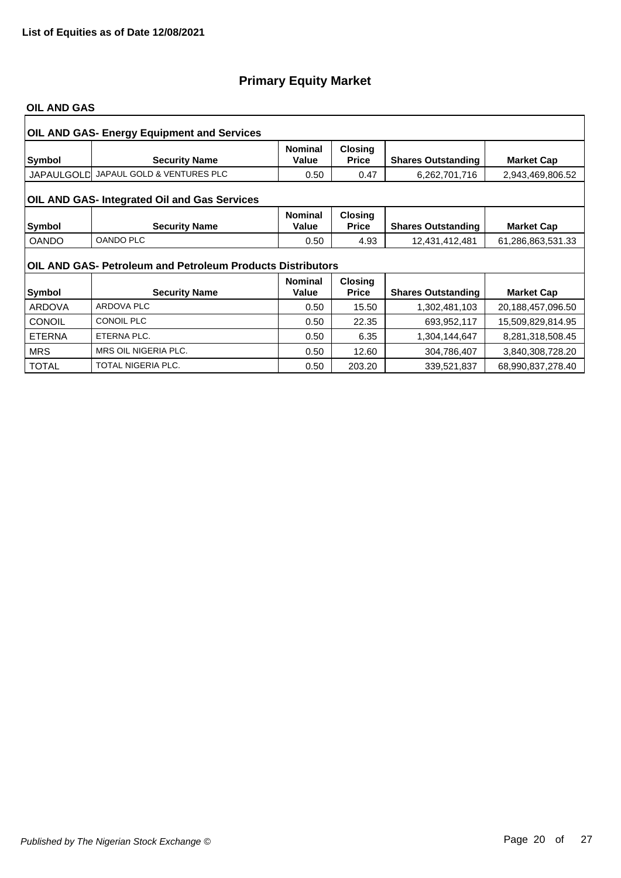#### **OIL AND GAS**

|               | <b>OIL AND GAS- Energy Equipment and Services</b>          |                         |                                |                           |                   |  |  |  |
|---------------|------------------------------------------------------------|-------------------------|--------------------------------|---------------------------|-------------------|--|--|--|
| Symbol        | <b>Security Name</b>                                       | <b>Nominal</b><br>Value | <b>Closing</b><br><b>Price</b> | <b>Shares Outstanding</b> | <b>Market Cap</b> |  |  |  |
|               | JAPAULGOLD JAPAUL GOLD & VENTURES PLC                      | 0.50                    | 0.47                           | 6,262,701,716             | 2,943,469,806.52  |  |  |  |
|               | OIL AND GAS- Integrated Oil and Gas Services               |                         |                                |                           |                   |  |  |  |
| Symbol        | <b>Security Name</b>                                       | <b>Nominal</b><br>Value | <b>Closing</b><br><b>Price</b> | <b>Shares Outstanding</b> | <b>Market Cap</b> |  |  |  |
| <b>OANDO</b>  | <b>OANDO PLC</b>                                           | 0.50                    | 4.93                           | 12,431,412,481            | 61,286,863,531.33 |  |  |  |
|               | OIL AND GAS- Petroleum and Petroleum Products Distributors |                         |                                |                           |                   |  |  |  |
|               |                                                            | <b>Nominal</b>          | <b>Closing</b>                 |                           |                   |  |  |  |
| Symbol        | <b>Security Name</b>                                       | Value                   | <b>Price</b>                   | <b>Shares Outstanding</b> | <b>Market Cap</b> |  |  |  |
| <b>ARDOVA</b> | <b>ARDOVA PLC</b>                                          | 0.50                    | 15.50                          | 1,302,481,103             | 20,188,457,096.50 |  |  |  |
| <b>CONOIL</b> | <b>CONOIL PLC</b>                                          | 0.50                    | 22.35                          | 693,952,117               | 15,509,829,814.95 |  |  |  |
| <b>ETERNA</b> | ETERNA PLC.                                                | 0.50                    | 6.35                           | 1,304,144,647             | 8,281,318,508.45  |  |  |  |
| <b>MRS</b>    | MRS OIL NIGERIA PLC.                                       | 0.50                    | 12.60                          | 304,786,407               | 3,840,308,728.20  |  |  |  |
| <b>TOTAL</b>  | <b>TOTAL NIGERIA PLC.</b>                                  | 0.50                    | 203.20                         | 339,521,837               | 68,990,837,278.40 |  |  |  |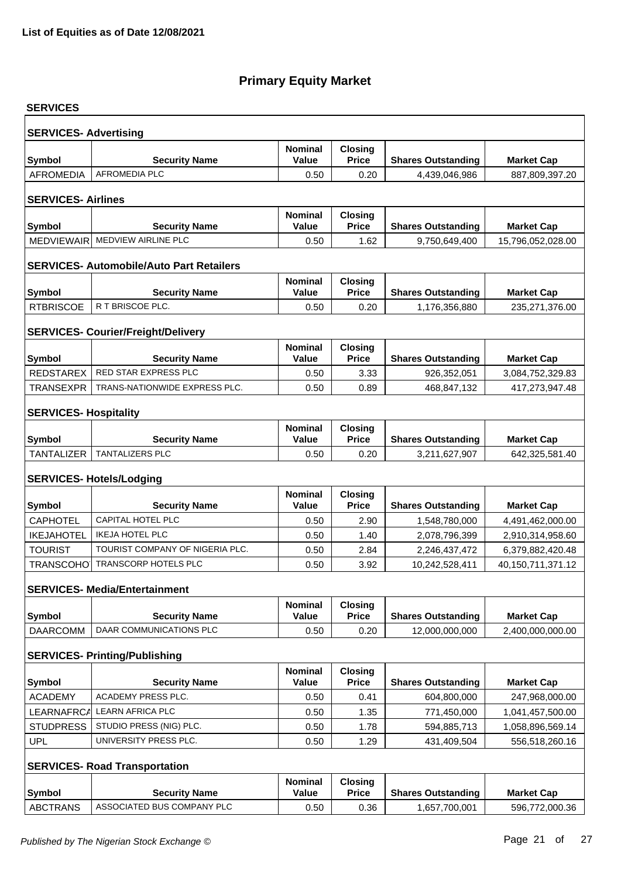| <b>SERVICES</b>              |                                                 |                                |                                |                           |                   |
|------------------------------|-------------------------------------------------|--------------------------------|--------------------------------|---------------------------|-------------------|
| <b>SERVICES- Advertising</b> |                                                 |                                |                                |                           |                   |
| Symbol                       | <b>Security Name</b>                            | <b>Nominal</b><br>Value        | Closing<br><b>Price</b>        | <b>Shares Outstanding</b> | <b>Market Cap</b> |
| <b>AFROMEDIA</b>             | <b>AFROMEDIA PLC</b>                            | 0.50                           | 0.20                           | 4,439,046,986             | 887,809,397.20    |
|                              |                                                 |                                |                                |                           |                   |
| <b>SERVICES-Airlines</b>     |                                                 |                                |                                |                           |                   |
| <b>Symbol</b>                | <b>Security Name</b>                            | <b>Nominal</b><br>Value        | <b>Closing</b><br><b>Price</b> | <b>Shares Outstanding</b> | <b>Market Cap</b> |
| <b>MEDVIEWAIR</b>            | MEDVIEW AIRLINE PLC                             | 0.50                           | 1.62                           | 9,750,649,400             | 15,796,052,028.00 |
|                              |                                                 |                                |                                |                           |                   |
|                              | <b>SERVICES- Automobile/Auto Part Retailers</b> |                                |                                |                           |                   |
|                              |                                                 | <b>Nominal</b>                 | <b>Closing</b>                 |                           |                   |
| <b>Symbol</b>                | <b>Security Name</b>                            | <b>Value</b>                   | <b>Price</b>                   | <b>Shares Outstanding</b> | <b>Market Cap</b> |
| <b>RTBRISCOE</b>             | R T BRISCOE PLC.                                | 0.50                           | 0.20                           | 1,176,356,880             | 235,271,376.00    |
|                              | <b>SERVICES- Courier/Freight/Delivery</b>       |                                |                                |                           |                   |
| Symbol                       | <b>Security Name</b>                            | <b>Nominal</b><br><b>Value</b> | <b>Closing</b><br><b>Price</b> | <b>Shares Outstanding</b> | <b>Market Cap</b> |
| REDSTAREX                    | RED STAR EXPRESS PLC                            | 0.50                           | 3.33                           | 926,352,051               | 3,084,752,329.83  |
| <b>TRANSEXPR</b>             | TRANS-NATIONWIDE EXPRESS PLC.                   | 0.50                           | 0.89                           | 468,847,132               | 417,273,947.48    |
|                              |                                                 |                                |                                |                           |                   |
| <b>SERVICES- Hospitality</b> |                                                 |                                |                                |                           |                   |
|                              |                                                 | <b>Nominal</b>                 | <b>Closing</b>                 |                           |                   |
| Symbol                       | <b>Security Name</b><br>TANTALIZERS PLC         | <b>Value</b>                   | <b>Price</b>                   | <b>Shares Outstanding</b> | <b>Market Cap</b> |
| <b>TANTALIZER</b>            |                                                 | 0.50                           | 0.20                           | 3,211,627,907             | 642,325,581.40    |
|                              | <b>SERVICES- Hotels/Lodging</b>                 |                                |                                |                           |                   |
| <b>Symbol</b>                | <b>Security Name</b>                            | <b>Nominal</b><br><b>Value</b> | <b>Closing</b><br><b>Price</b> | <b>Shares Outstanding</b> | <b>Market Cap</b> |
| <b>CAPHOTEL</b>              | CAPITAL HOTEL PLC                               | 0.50                           | 2.90                           | 1,548,780,000             | 4,491,462,000.00  |
| <b>IKEJAHOTEL</b>            | <b>IKEJA HOTEL PLC</b>                          | 0.50                           | 1.40                           | 2,078,796,399             | 2,910,314,958.60  |
| <b>TOURIST</b>               | TOURIST COMPANY OF NIGERIA PLC.                 | 0.50                           | 2.84                           | 2,246,437,472             | 6,379,882,420.48  |
| <b>TRANSCOHO</b>             | <b>TRANSCORP HOTELS PLC</b>                     | 0.50                           | 3.92                           | 10,242,528,411            | 40,150,711,371.12 |
|                              | <b>SERVICES- Media/Entertainment</b>            |                                |                                |                           |                   |
|                              |                                                 | <b>Nominal</b>                 | <b>Closing</b>                 |                           |                   |
| Symbol                       | <b>Security Name</b><br>DAAR COMMUNICATIONS PLC | <b>Value</b>                   | <b>Price</b>                   | <b>Shares Outstanding</b> | <b>Market Cap</b> |
| <b>DAARCOMM</b>              |                                                 | 0.50                           | 0.20                           | 12,000,000,000            | 2,400,000,000.00  |
|                              | <b>SERVICES- Printing/Publishing</b>            |                                |                                |                           |                   |
|                              |                                                 | <b>Nominal</b>                 | <b>Closing</b>                 |                           |                   |
| <b>Symbol</b>                | <b>Security Name</b>                            | Value                          | <b>Price</b>                   | <b>Shares Outstanding</b> | <b>Market Cap</b> |
| <b>ACADEMY</b>               | <b>ACADEMY PRESS PLC.</b>                       | 0.50                           | 0.41                           | 604,800,000               | 247,968,000.00    |
| LEARNAFRCA                   | <b>LEARN AFRICA PLC</b>                         | 0.50                           | 1.35                           | 771,450,000               | 1,041,457,500.00  |
| <b>STUDPRESS</b>             | STUDIO PRESS (NIG) PLC.                         | 0.50                           | 1.78                           | 594,885,713               | 1,058,896,569.14  |
| <b>UPL</b>                   | UNIVERSITY PRESS PLC.                           | 0.50                           | 1.29                           | 431,409,504               | 556,518,260.16    |
|                              | <b>SERVICES- Road Transportation</b>            |                                |                                |                           |                   |
| Symbol                       | <b>Security Name</b>                            | <b>Nominal</b><br><b>Value</b> | <b>Closing</b><br><b>Price</b> | <b>Shares Outstanding</b> | <b>Market Cap</b> |
| <b>ABCTRANS</b>              | ASSOCIATED BUS COMPANY PLC                      | 0.50                           | 0.36                           | 1,657,700,001             | 596,772,000.36    |
|                              |                                                 |                                |                                |                           |                   |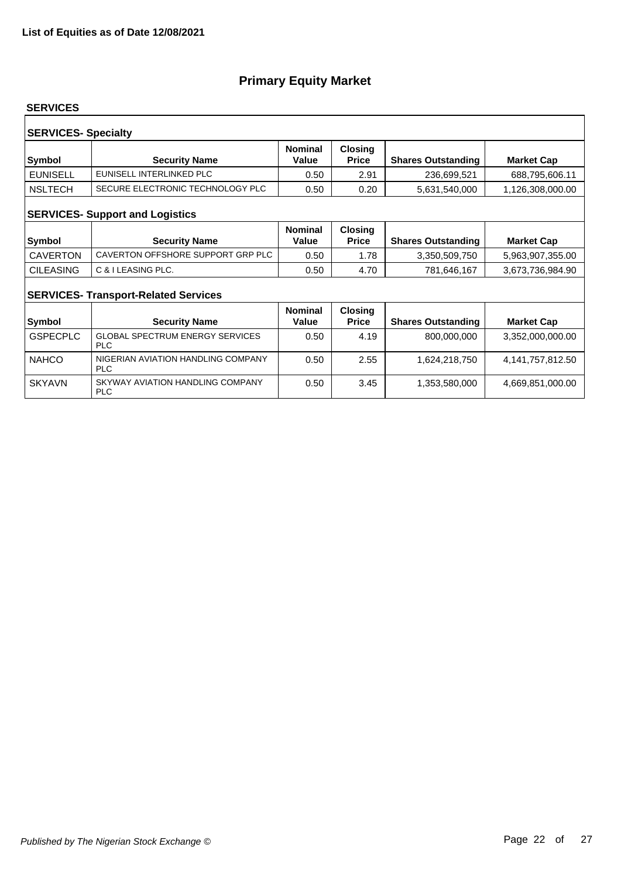#### **SERVICES**

| <b>SERVICES- Specialty</b><br><b>Nominal</b><br><b>Closing</b> |                                  |       |              |                           |                   |  |  |
|----------------------------------------------------------------|----------------------------------|-------|--------------|---------------------------|-------------------|--|--|
| Symbol                                                         | <b>Security Name</b>             | Value | <b>Price</b> | <b>Shares Outstanding</b> | <b>Market Cap</b> |  |  |
| <b>EUNISELL</b>                                                | EUNISELL INTERLINKED PLC         | 0.50  | 2.91         | 236,699,521               | 688,795,606.11    |  |  |
| <b>NSLTECH</b>                                                 | SECURE ELECTRONIC TECHNOLOGY PLC | 0.50  | 0.20         | 5,631,540,000             | 1,126,308,000.00  |  |  |
| <b>SERVICES- Support and Logistics</b>                         |                                  |       |              |                           |                   |  |  |

| Symbol           | <b>Security Name</b>              | <b>Nominal</b><br>Value | <b>Closing</b><br><b>Price</b> | <b>Shares Outstanding</b> | <b>Market Cap</b> |
|------------------|-----------------------------------|-------------------------|--------------------------------|---------------------------|-------------------|
| CAVERTON         | CAVERTON OFFSHORE SUPPORT GRP PLC | 0.50                    | 78. ا                          | 3,350,509,750             | 5,963,907,355.00  |
| <b>CILEASING</b> | C & I LEASING PLC.                | 0.50                    | 4.70                           | 781,646,167               | 3,673,736,984.90  |

## **SERVICES- Transport-Related Services**

| <b>Symbol</b>   | <b>Security Name</b>                                 | <b>Nominal</b><br>Value | <b>Closing</b><br><b>Price</b> | <b>Shares Outstanding</b> | <b>Market Cap</b> |
|-----------------|------------------------------------------------------|-------------------------|--------------------------------|---------------------------|-------------------|
| <b>GSPECPLC</b> | <b>GLOBAL SPECTRUM ENERGY SERVICES</b><br><b>PLC</b> | 0.50                    | 4.19                           | 800,000,000               | 3,352,000,000.00  |
| <b>NAHCO</b>    | NIGERIAN AVIATION HANDLING COMPANY<br><b>PLC</b>     | 0.50                    | 2.55                           | 1,624,218,750             | 4,141,757,812.50  |
| <b>SKYAVN</b>   | SKYWAY AVIATION HANDLING COMPANY<br><b>PLC</b>       | 0.50                    | 3.45                           | 1,353,580,000             | 4,669,851,000.00  |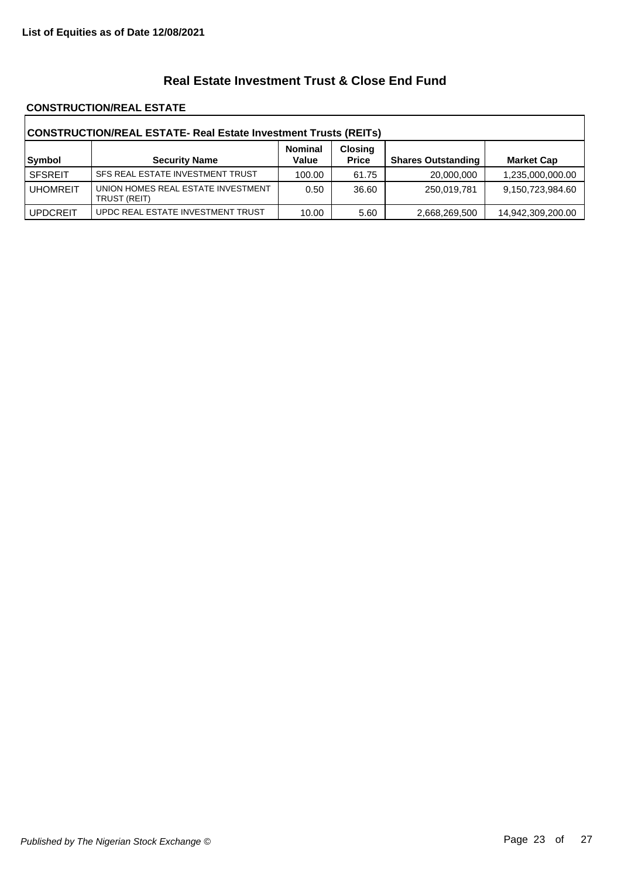## **Real Estate Investment Trust & Close End Fund**

#### **CONSTRUCTION/REAL ESTATE**

| CONSTRUCTION/REAL ESTATE- Real Estate Investment Trusts (REITs) |                                                    |                         |                                |                           |                   |  |
|-----------------------------------------------------------------|----------------------------------------------------|-------------------------|--------------------------------|---------------------------|-------------------|--|
| Symbol                                                          | <b>Security Name</b>                               | <b>Nominal</b><br>Value | <b>Closing</b><br><b>Price</b> | <b>Shares Outstanding</b> | <b>Market Cap</b> |  |
| <b>SFSREIT</b>                                                  | SFS REAL ESTATE INVESTMENT TRUST                   | 100.00                  | 61.75                          | 20,000,000                | 1,235,000,000.00  |  |
| <b>UHOMREIT</b>                                                 | UNION HOMES REAL ESTATE INVESTMENT<br>TRUST (REIT) | 0.50                    | 36.60                          | 250,019,781               | 9,150,723,984.60  |  |
| <b>UPDCREIT</b>                                                 | UPDC REAL ESTATE INVESTMENT TRUST                  | 10.00                   | 5.60                           | 2,668,269,500             | 14,942,309,200.00 |  |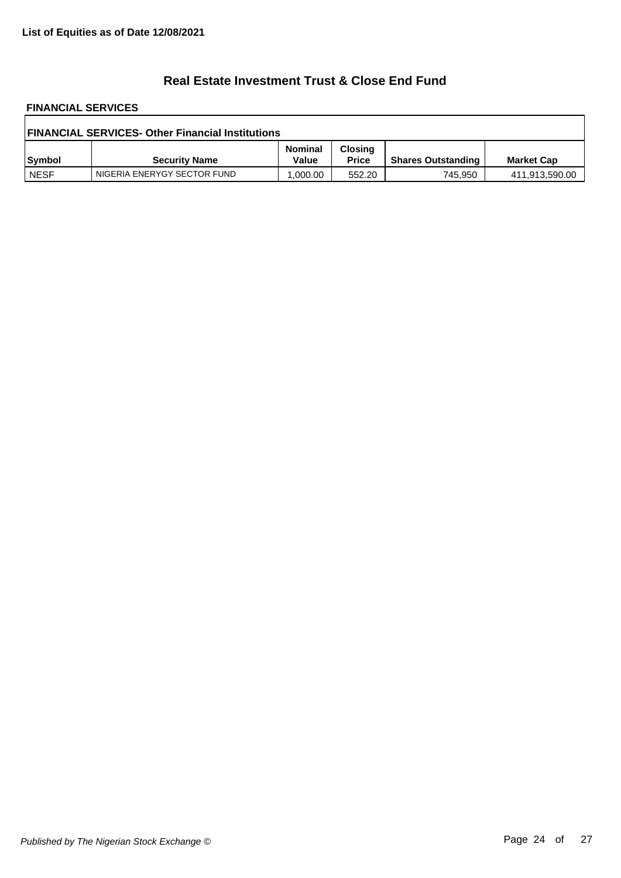## **Real Estate Investment Trust & Close End Fund**

# **FINANCIAL SERVICES**

| <b>FINANCIAL SERVICES- Other Financial Institutions</b> |                             |                         |                                |                           |                   |  |
|---------------------------------------------------------|-----------------------------|-------------------------|--------------------------------|---------------------------|-------------------|--|
| Symbol                                                  | <b>Security Name</b>        | <b>Nominal</b><br>Value | <b>Closing</b><br><b>Price</b> | <b>Shares Outstanding</b> | <b>Market Cap</b> |  |
| <b>NESF</b>                                             | NIGERIA ENERYGY SECTOR FUND | 1.000.00                | 552.20                         | 745.950                   | 411,913,590.00    |  |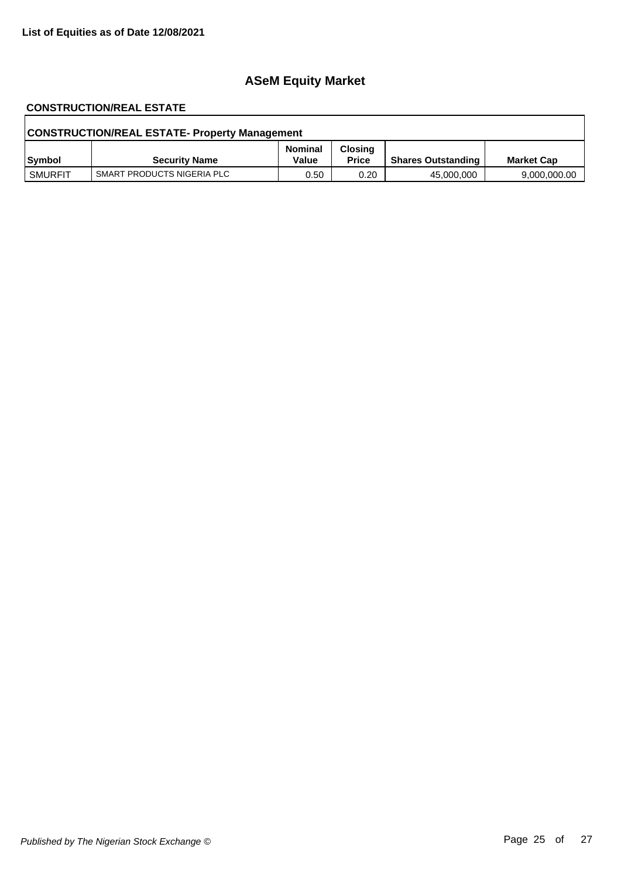# **ASeM Equity Market**

# **CONSTRUCTION/REAL ESTATE**

| <b>CONSTRUCTION/REAL ESTATE- Property Management</b> |                            |                         |                                |                           |                   |  |
|------------------------------------------------------|----------------------------|-------------------------|--------------------------------|---------------------------|-------------------|--|
| Symbol                                               | <b>Security Name</b>       | <b>Nominal</b><br>Value | <b>Closing</b><br><b>Price</b> | <b>Shares Outstanding</b> | <b>Market Cap</b> |  |
| <b>SMURFIT</b>                                       | SMART PRODUCTS NIGERIA PLC | 0.50                    | 0.20                           | 45,000,000                | 9,000,000.00      |  |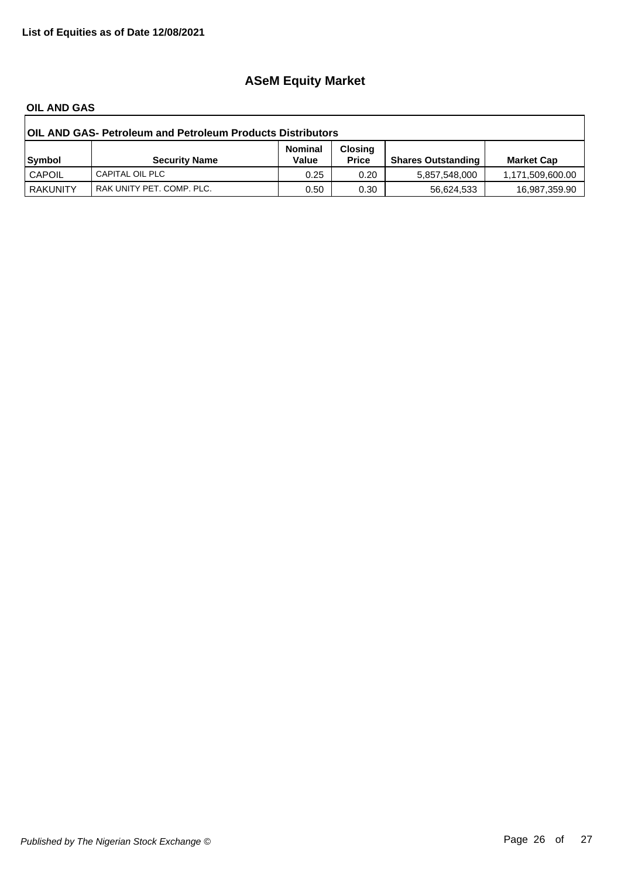# **ASeM Equity Market**

#### **OIL AND GAS**

| <b>OIL AND GAS- Petroleum and Petroleum Products Distributors</b> |                           |                         |                                |                           |                   |  |
|-------------------------------------------------------------------|---------------------------|-------------------------|--------------------------------|---------------------------|-------------------|--|
| Symbol                                                            | <b>Security Name</b>      | <b>Nominal</b><br>Value | <b>Closing</b><br><b>Price</b> | <b>Shares Outstanding</b> | <b>Market Cap</b> |  |
| <b>CAPOIL</b>                                                     | CAPITAL OIL PLC           | 0.25                    | 0.20                           | 5,857,548,000             | 1,171,509,600.00  |  |
| <b>RAKUNITY</b>                                                   | RAK UNITY PET. COMP. PLC. | 0.50                    | 0.30                           | 56.624.533                | 16,987,359.90     |  |